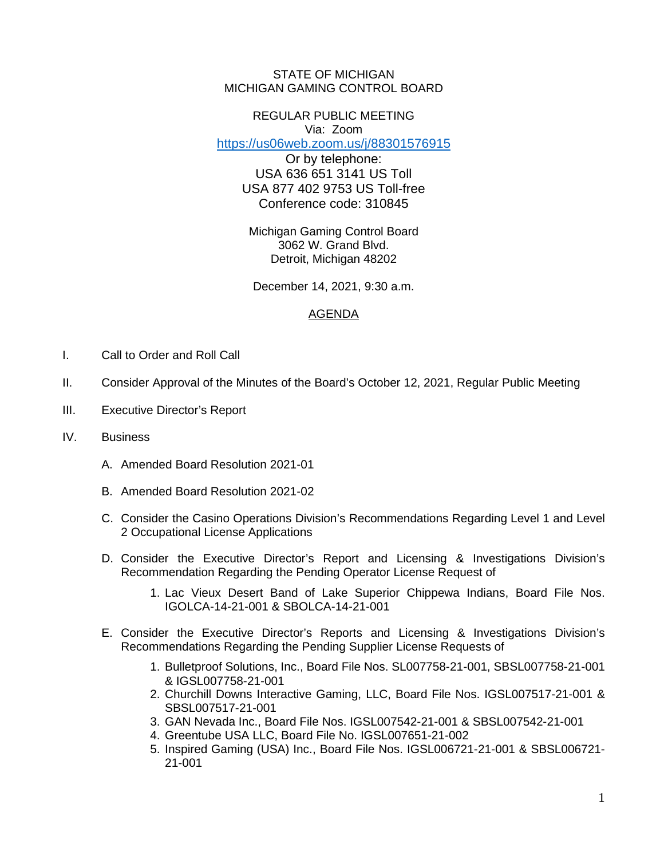## STATE OF MICHIGAN MICHIGAN GAMING CONTROL BOARD

## REGULAR PUBLIC MEETING Via: Zoom

<https://us06web.zoom.us/j/88301576915>

Or by telephone: USA 636 651 3141 US Toll USA 877 402 9753 US Toll-free Conference code: 310845

Michigan Gaming Control Board 3062 W. Grand Blvd. Detroit, Michigan 48202

December 14, 2021, 9:30 a.m.

## AGENDA

- I. Call to Order and Roll Call
- II. Consider Approval of the Minutes of the Board's October 12, 2021, Regular Public Meeting
- III. Executive Director's Report
- IV. Business
	- A. Amended Board Resolution 2021-01
	- B. Amended Board Resolution 2021-02
	- C. Consider the Casino Operations Division's Recommendations Regarding Level 1 and Level 2 Occupational License Applications
	- D. Consider the Executive Director's Report and Licensing & Investigations Division's Recommendation Regarding the Pending Operator License Request of
		- 1. Lac Vieux Desert Band of Lake Superior Chippewa Indians, Board File Nos. IGOLCA-14-21-001 & SBOLCA-14-21-001
	- E. Consider the Executive Director's Reports and Licensing & Investigations Division's Recommendations Regarding the Pending Supplier License Requests of
		- 1. Bulletproof Solutions, Inc., Board File Nos. SL007758-21-001, SBSL007758-21-001 & IGSL007758-21-001
		- 2. Churchill Downs Interactive Gaming, LLC, Board File Nos. IGSL007517-21-001 & SBSL007517-21-001
		- 3. GAN Nevada Inc., Board File Nos. IGSL007542-21-001 & SBSL007542-21-001
		- 4. Greentube USA LLC, Board File No. IGSL007651-21-002
		- 5. Inspired Gaming (USA) Inc., Board File Nos. IGSL006721-21-001 & SBSL006721- 21-001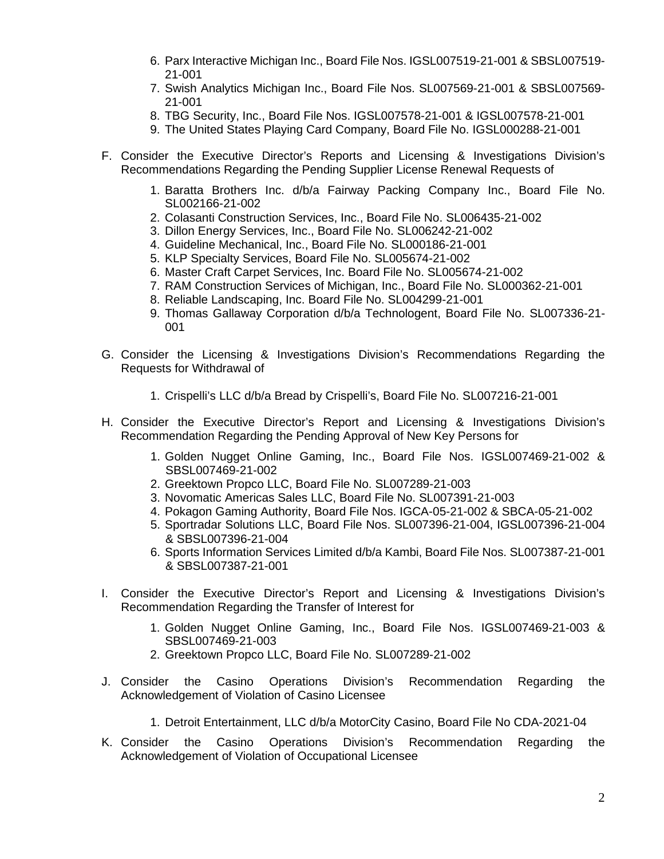- 6. Parx Interactive Michigan Inc., Board File Nos. IGSL007519-21-001 & SBSL007519- 21-001
- 7. Swish Analytics Michigan Inc., Board File Nos. SL007569-21-001 & SBSL007569- 21-001
- 8. TBG Security, Inc., Board File Nos. IGSL007578-21-001 & IGSL007578-21-001
- 9. The United States Playing Card Company, Board File No. IGSL000288-21-001
- F. Consider the Executive Director's Reports and Licensing & Investigations Division's Recommendations Regarding the Pending Supplier License Renewal Requests of
	- 1. Baratta Brothers Inc. d/b/a Fairway Packing Company Inc., Board File No. SL002166-21-002
	- 2. Colasanti Construction Services, Inc., Board File No. SL006435-21-002
	- 3. Dillon Energy Services, Inc., Board File No. SL006242-21-002
	- 4. Guideline Mechanical, Inc., Board File No. SL000186-21-001
	- 5. KLP Specialty Services, Board File No. SL005674-21-002
	- 6. Master Craft Carpet Services, Inc. Board File No. SL005674-21-002
	- 7. RAM Construction Services of Michigan, Inc., Board File No. SL000362-21-001
	- 8. Reliable Landscaping, Inc. Board File No. SL004299-21-001
	- 9. Thomas Gallaway Corporation d/b/a Technologent, Board File No. SL007336-21- 001
- G. Consider the Licensing & Investigations Division's Recommendations Regarding the Requests for Withdrawal of
	- 1. Crispelli's LLC d/b/a Bread by Crispelli's, Board File No. SL007216-21-001
- H. Consider the Executive Director's Report and Licensing & Investigations Division's Recommendation Regarding the Pending Approval of New Key Persons for
	- 1. Golden Nugget Online Gaming, Inc., Board File Nos. IGSL007469-21-002 & SBSL007469-21-002
	- 2. Greektown Propco LLC, Board File No. SL007289-21-003
	- 3. Novomatic Americas Sales LLC, Board File No. SL007391-21-003
	- 4. Pokagon Gaming Authority, Board File Nos. IGCA-05-21-002 & SBCA-05-21-002
	- 5. Sportradar Solutions LLC, Board File Nos. SL007396-21-004, IGSL007396-21-004 & SBSL007396-21-004
	- 6. Sports Information Services Limited d/b/a Kambi, Board File Nos. SL007387-21-001 & SBSL007387-21-001
- I. Consider the Executive Director's Report and Licensing & Investigations Division's Recommendation Regarding the Transfer of Interest for
	- 1. Golden Nugget Online Gaming, Inc., Board File Nos. IGSL007469-21-003 & SBSL007469-21-003
	- 2. Greektown Propco LLC, Board File No. SL007289-21-002
- J. Consider the Casino Operations Division's Recommendation Regarding the Acknowledgement of Violation of Casino Licensee
	- 1. Detroit Entertainment, LLC d/b/a MotorCity Casino, Board File No CDA-2021-04
- K. Consider the Casino Operations Division's Recommendation Regarding the Acknowledgement of Violation of Occupational Licensee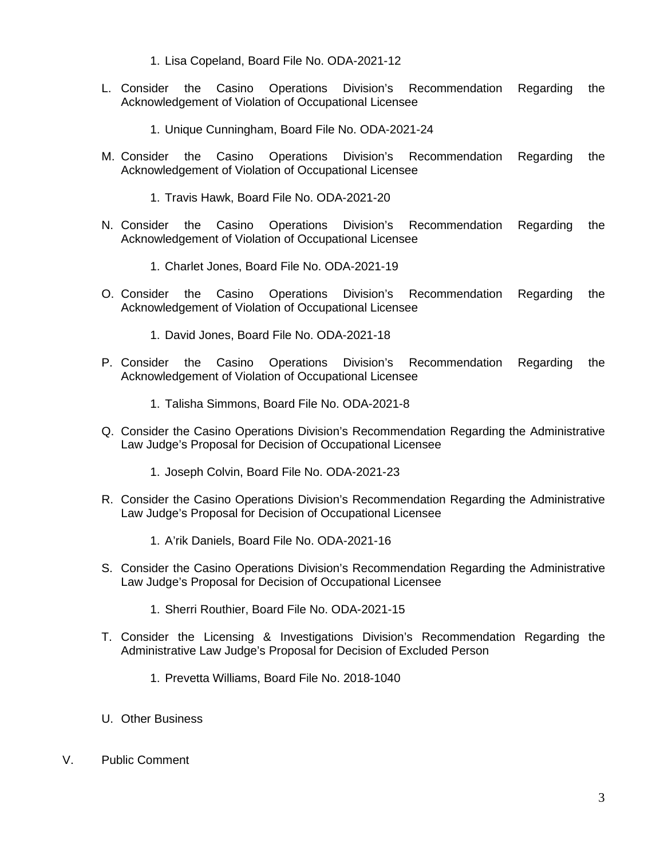- 1. Lisa Copeland, Board File No. ODA-2021-12
- L. Consider the Casino Operations Division's Recommendation Regarding the Acknowledgement of Violation of Occupational Licensee
	- 1. Unique Cunningham, Board File No. ODA-2021-24
- M. Consider the Casino Operations Division's Recommendation Regarding the Acknowledgement of Violation of Occupational Licensee
	- 1. Travis Hawk, Board File No. ODA-2021-20
- N. Consider the Casino Operations Division's Recommendation Regarding the Acknowledgement of Violation of Occupational Licensee
	- 1. Charlet Jones, Board File No. ODA-2021-19
- O. Consider the Casino Operations Division's Recommendation Regarding the Acknowledgement of Violation of Occupational Licensee
	- 1. David Jones, Board File No. ODA-2021-18
- P. Consider the Casino Operations Division's Recommendation Regarding the Acknowledgement of Violation of Occupational Licensee
	- 1. Talisha Simmons, Board File No. ODA-2021-8
- Q. Consider the Casino Operations Division's Recommendation Regarding the Administrative Law Judge's Proposal for Decision of Occupational Licensee
	- 1. Joseph Colvin, Board File No. ODA-2021-23
- R. Consider the Casino Operations Division's Recommendation Regarding the Administrative Law Judge's Proposal for Decision of Occupational Licensee
	- 1. A'rik Daniels, Board File No. ODA-2021-16
- S. Consider the Casino Operations Division's Recommendation Regarding the Administrative Law Judge's Proposal for Decision of Occupational Licensee
	- 1. Sherri Routhier, Board File No. ODA-2021-15
- T. Consider the Licensing & Investigations Division's Recommendation Regarding the Administrative Law Judge's Proposal for Decision of Excluded Person
	- 1. Prevetta Williams, Board File No. 2018-1040
- U. Other Business
- V. Public Comment